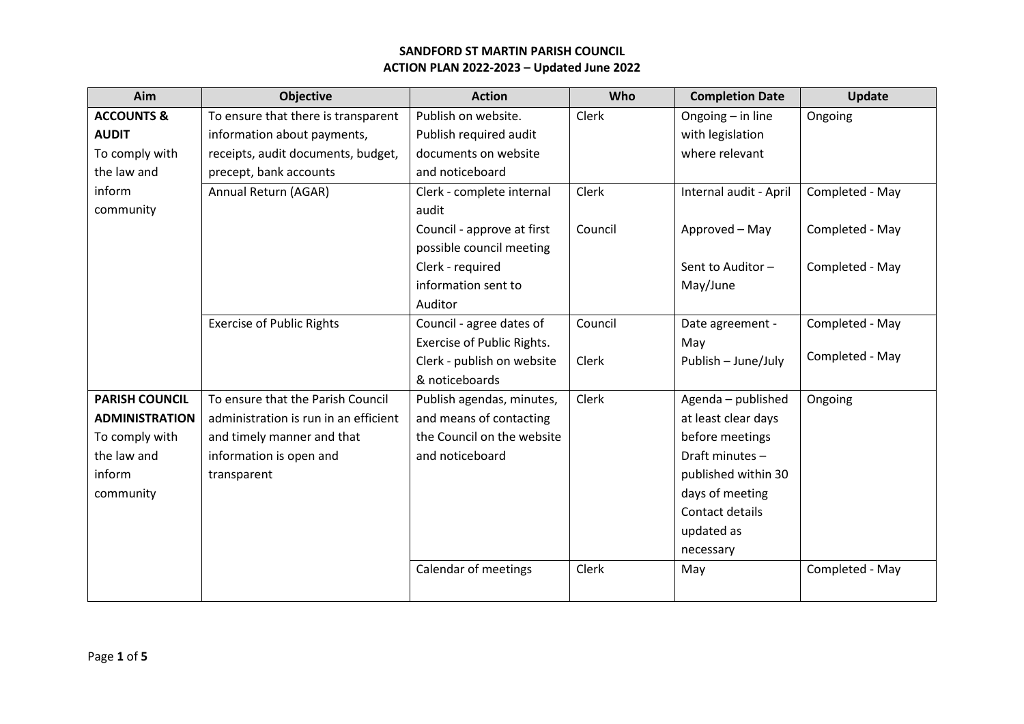|                                       |                                   |         |                        | <b>Update</b>   |
|---------------------------------------|-----------------------------------|---------|------------------------|-----------------|
| To ensure that there is transparent   | Publish on website.               | Clerk   | Ongoing - in line      | Ongoing         |
| information about payments,           | Publish required audit            |         | with legislation       |                 |
| receipts, audit documents, budget,    | documents on website              |         | where relevant         |                 |
| precept, bank accounts                | and noticeboard                   |         |                        |                 |
| Annual Return (AGAR)                  | Clerk - complete internal         | Clerk   | Internal audit - April | Completed - May |
|                                       | audit                             |         |                        |                 |
|                                       | Council - approve at first        | Council | Approved - May         | Completed - May |
|                                       | possible council meeting          |         |                        |                 |
|                                       | Clerk - required                  |         | Sent to Auditor-       | Completed - May |
|                                       | information sent to               |         | May/June               |                 |
|                                       | Auditor                           |         |                        |                 |
| <b>Exercise of Public Rights</b>      | Council - agree dates of          | Council | Date agreement -       | Completed - May |
|                                       | <b>Exercise of Public Rights.</b> |         | May                    |                 |
|                                       | Clerk - publish on website        | Clerk   | Publish - June/July    | Completed - May |
|                                       | & noticeboards                    |         |                        |                 |
| To ensure that the Parish Council     | Publish agendas, minutes,         | Clerk   | Agenda - published     | Ongoing         |
| administration is run in an efficient | and means of contacting           |         | at least clear days    |                 |
| and timely manner and that            | the Council on the website        |         | before meetings        |                 |
| information is open and               | and noticeboard                   |         | Draft minutes -        |                 |
| transparent                           |                                   |         | published within 30    |                 |
|                                       |                                   |         | days of meeting        |                 |
|                                       |                                   |         | Contact details        |                 |
|                                       |                                   |         | updated as             |                 |
|                                       |                                   |         | necessary              |                 |
|                                       | Calendar of meetings              | Clerk   | May                    | Completed - May |
|                                       |                                   |         |                        |                 |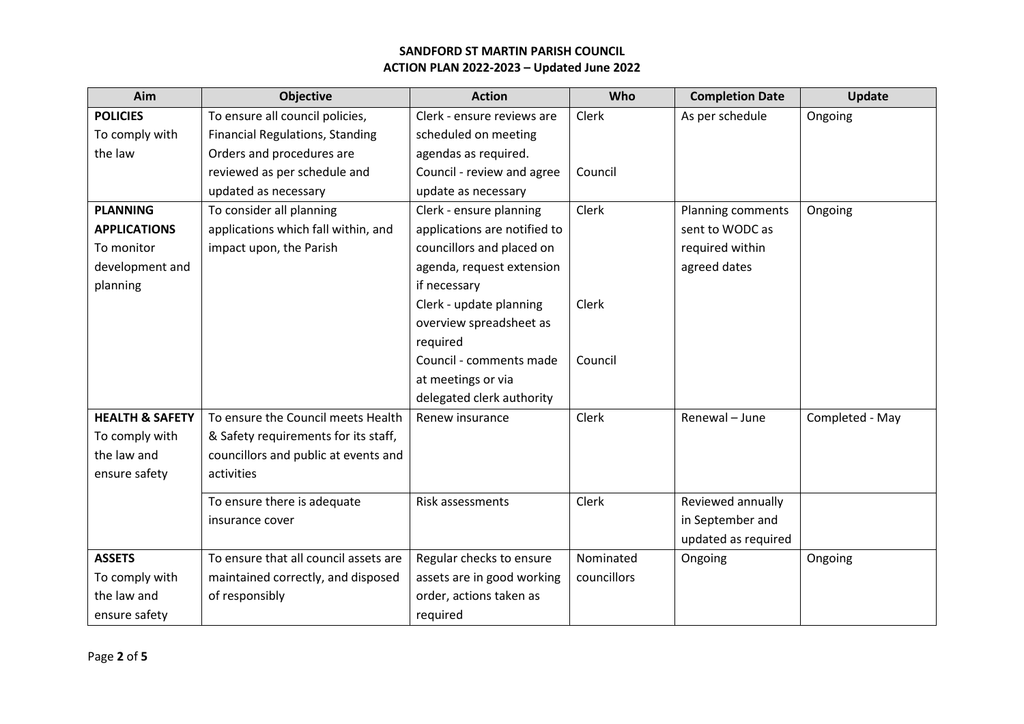| Aim                        | <b>Objective</b>                       | <b>Action</b>                | Who         | <b>Completion Date</b> | Update          |
|----------------------------|----------------------------------------|------------------------------|-------------|------------------------|-----------------|
| <b>POLICIES</b>            | To ensure all council policies,        | Clerk - ensure reviews are   | Clerk       | As per schedule        | Ongoing         |
| To comply with             | <b>Financial Regulations, Standing</b> | scheduled on meeting         |             |                        |                 |
| the law                    | Orders and procedures are              | agendas as required.         |             |                        |                 |
|                            | reviewed as per schedule and           | Council - review and agree   | Council     |                        |                 |
|                            | updated as necessary                   | update as necessary          |             |                        |                 |
| <b>PLANNING</b>            | To consider all planning               | Clerk - ensure planning      | Clerk       | Planning comments      | Ongoing         |
| <b>APPLICATIONS</b>        | applications which fall within, and    | applications are notified to |             | sent to WODC as        |                 |
| To monitor                 | impact upon, the Parish                | councillors and placed on    |             | required within        |                 |
| development and            |                                        | agenda, request extension    |             | agreed dates           |                 |
| planning                   |                                        | if necessary                 |             |                        |                 |
|                            |                                        | Clerk - update planning      | Clerk       |                        |                 |
|                            |                                        | overview spreadsheet as      |             |                        |                 |
|                            |                                        | required                     |             |                        |                 |
|                            |                                        | Council - comments made      | Council     |                        |                 |
|                            |                                        | at meetings or via           |             |                        |                 |
|                            |                                        | delegated clerk authority    |             |                        |                 |
| <b>HEALTH &amp; SAFETY</b> | To ensure the Council meets Health     | Renew insurance              | Clerk       | Renewal - June         | Completed - May |
| To comply with             | & Safety requirements for its staff,   |                              |             |                        |                 |
| the law and                | councillors and public at events and   |                              |             |                        |                 |
| ensure safety              | activities                             |                              |             |                        |                 |
|                            | To ensure there is adequate            | Risk assessments             | Clerk       | Reviewed annually      |                 |
|                            | insurance cover                        |                              |             | in September and       |                 |
|                            |                                        |                              |             | updated as required    |                 |
| <b>ASSETS</b>              | To ensure that all council assets are  | Regular checks to ensure     | Nominated   | Ongoing                | Ongoing         |
| To comply with             | maintained correctly, and disposed     | assets are in good working   | councillors |                        |                 |
| the law and                | of responsibly                         | order, actions taken as      |             |                        |                 |
| ensure safety              |                                        | required                     |             |                        |                 |
|                            |                                        |                              |             |                        |                 |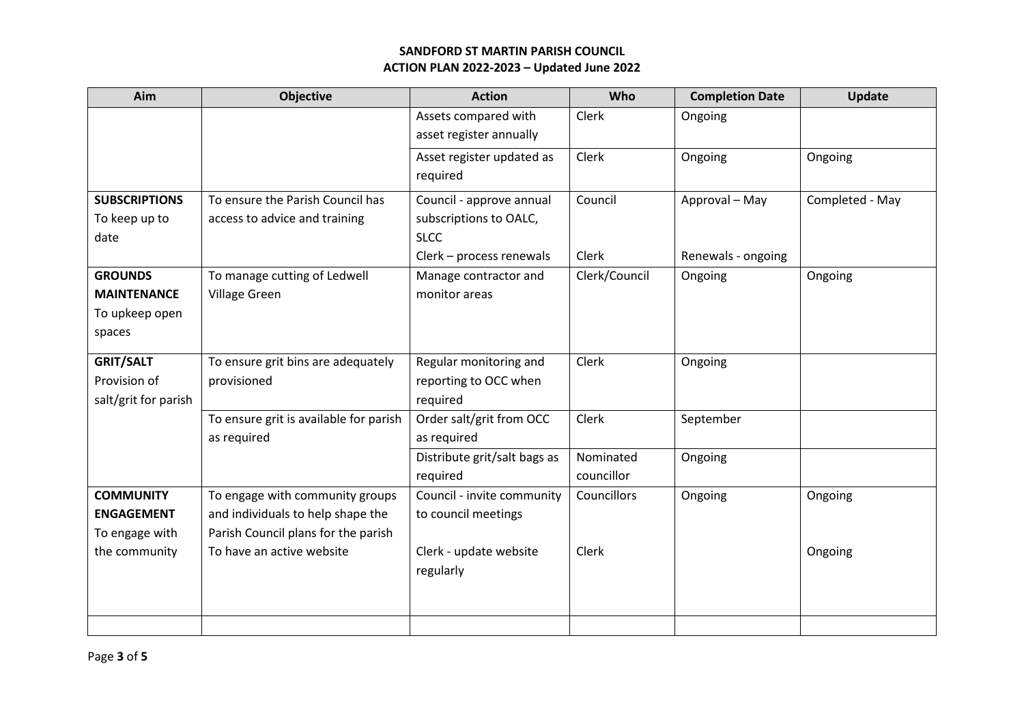| Aim                  | <b>Objective</b>                       | <b>Action</b>                | Who           | <b>Completion Date</b> | Update          |
|----------------------|----------------------------------------|------------------------------|---------------|------------------------|-----------------|
|                      |                                        | Assets compared with         | Clerk         | Ongoing                |                 |
|                      |                                        | asset register annually      |               |                        |                 |
|                      |                                        | Asset register updated as    | Clerk         | Ongoing                | Ongoing         |
|                      |                                        | required                     |               |                        |                 |
| <b>SUBSCRIPTIONS</b> | To ensure the Parish Council has       | Council - approve annual     | Council       | Approval - May         | Completed - May |
| To keep up to        | access to advice and training          | subscriptions to OALC,       |               |                        |                 |
| date                 |                                        | <b>SLCC</b>                  |               |                        |                 |
|                      |                                        | Clerk - process renewals     | Clerk         | Renewals - ongoing     |                 |
| <b>GROUNDS</b>       | To manage cutting of Ledwell           | Manage contractor and        | Clerk/Council | Ongoing                | Ongoing         |
| <b>MAINTENANCE</b>   | Village Green                          | monitor areas                |               |                        |                 |
| To upkeep open       |                                        |                              |               |                        |                 |
| spaces               |                                        |                              |               |                        |                 |
| <b>GRIT/SALT</b>     | To ensure grit bins are adequately     | Regular monitoring and       | Clerk         | Ongoing                |                 |
| Provision of         | provisioned                            | reporting to OCC when        |               |                        |                 |
| salt/grit for parish |                                        | required                     |               |                        |                 |
|                      | To ensure grit is available for parish | Order salt/grit from OCC     | Clerk         | September              |                 |
|                      | as required                            | as required                  |               |                        |                 |
|                      |                                        | Distribute grit/salt bags as | Nominated     | Ongoing                |                 |
|                      |                                        | required                     | councillor    |                        |                 |
| <b>COMMUNITY</b>     | To engage with community groups        | Council - invite community   | Councillors   | Ongoing                | Ongoing         |
| <b>ENGAGEMENT</b>    | and individuals to help shape the      | to council meetings          |               |                        |                 |
| To engage with       | Parish Council plans for the parish    |                              |               |                        |                 |
| the community        | To have an active website              | Clerk - update website       | Clerk         |                        | Ongoing         |
|                      |                                        | regularly                    |               |                        |                 |
|                      |                                        |                              |               |                        |                 |
|                      |                                        |                              |               |                        |                 |
|                      |                                        |                              |               |                        |                 |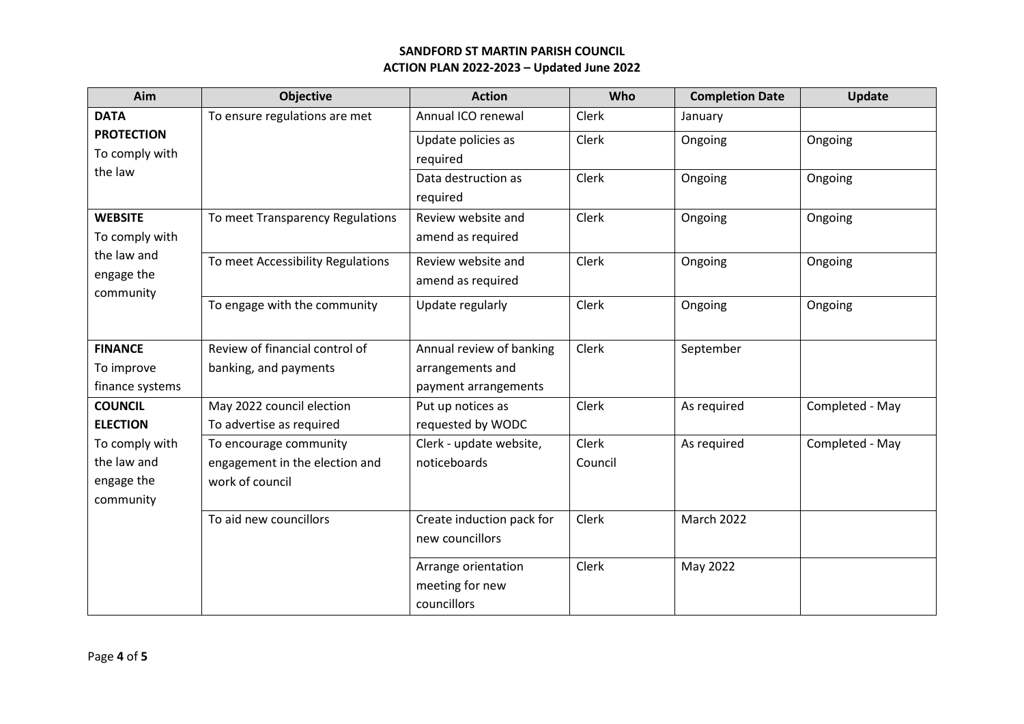| Aim                     | <b>Objective</b>                  | <b>Action</b>             | Who     | <b>Completion Date</b> | Update          |
|-------------------------|-----------------------------------|---------------------------|---------|------------------------|-----------------|
| <b>DATA</b>             | To ensure regulations are met     | Annual ICO renewal        | Clerk   | January                |                 |
| <b>PROTECTION</b>       |                                   | Update policies as        | Clerk   | Ongoing                | Ongoing         |
| To comply with          |                                   | required                  |         |                        |                 |
| the law                 |                                   | Data destruction as       | Clerk   | Ongoing                | Ongoing         |
|                         |                                   | required                  |         |                        |                 |
| <b>WEBSITE</b>          | To meet Transparency Regulations  | Review website and        | Clerk   | Ongoing                | Ongoing         |
| To comply with          |                                   | amend as required         |         |                        |                 |
| the law and             | To meet Accessibility Regulations | Review website and        | Clerk   | Ongoing                | Ongoing         |
| engage the<br>community |                                   | amend as required         |         |                        |                 |
|                         | To engage with the community      | Update regularly          | Clerk   | Ongoing                | Ongoing         |
|                         |                                   |                           |         |                        |                 |
| <b>FINANCE</b>          | Review of financial control of    | Annual review of banking  | Clerk   | September              |                 |
| To improve              | banking, and payments             | arrangements and          |         |                        |                 |
| finance systems         |                                   | payment arrangements      |         |                        |                 |
| <b>COUNCIL</b>          | May 2022 council election         | Put up notices as         | Clerk   | As required            | Completed - May |
| <b>ELECTION</b>         | To advertise as required          | requested by WODC         |         |                        |                 |
| To comply with          | To encourage community            | Clerk - update website,   | Clerk   | As required            | Completed - May |
| the law and             | engagement in the election and    | noticeboards              | Council |                        |                 |
| engage the              | work of council                   |                           |         |                        |                 |
| community               |                                   |                           |         |                        |                 |
|                         | To aid new councillors            | Create induction pack for | Clerk   | <b>March 2022</b>      |                 |
|                         |                                   | new councillors           |         |                        |                 |
|                         |                                   | Arrange orientation       | Clerk   | May 2022               |                 |
|                         |                                   | meeting for new           |         |                        |                 |
|                         |                                   | councillors               |         |                        |                 |